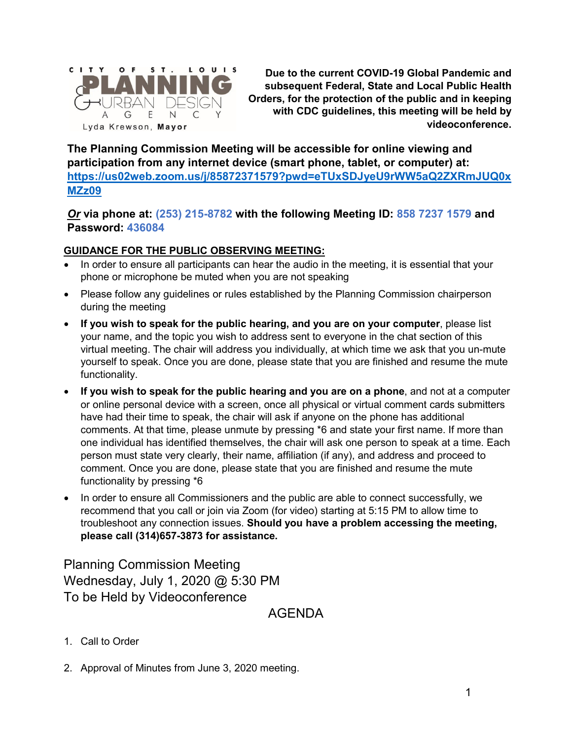

**Due to the current COVID-19 Global Pandemic and subsequent Federal, State and Local Public Health Orders, for the protection of the public and in keeping with CDC guidelines, this meeting will be held by videoconference.**

**The Planning Commission Meeting will be accessible for online viewing and participation from any internet device (smart phone, tablet, or computer) at: [https://us02web.zoom.us/j/85872371579?pwd=eTUxSDJyeU9rWW5aQ2ZXRmJUQ0x](https://us02web.zoom.us/j/85872371579?pwd=eTUxSDJyeU9rWW5aQ2ZXRmJUQ0xMZz09) [MZz09](https://us02web.zoom.us/j/85872371579?pwd=eTUxSDJyeU9rWW5aQ2ZXRmJUQ0xMZz09)**

*Or* **via phone at: (253) 215-8782 with the following Meeting ID: 858 7237 1579 and Password: 436084**

#### **GUIDANCE FOR THE PUBLIC OBSERVING MEETING:**

- In order to ensure all participants can hear the audio in the meeting, it is essential that your phone or microphone be muted when you are not speaking
- Please follow any guidelines or rules established by the Planning Commission chairperson during the meeting
- **If you wish to speak for the public hearing, and you are on your computer**, please list your name, and the topic you wish to address sent to everyone in the chat section of this virtual meeting. The chair will address you individually, at which time we ask that you un-mute yourself to speak. Once you are done, please state that you are finished and resume the mute functionality.
- **If you wish to speak for the public hearing and you are on a phone**, and not at a computer or online personal device with a screen, once all physical or virtual comment cards submitters have had their time to speak, the chair will ask if anyone on the phone has additional comments. At that time, please unmute by pressing \*6 and state your first name. If more than one individual has identified themselves, the chair will ask one person to speak at a time. Each person must state very clearly, their name, affiliation (if any), and address and proceed to comment. Once you are done, please state that you are finished and resume the mute functionality by pressing \*6
- In order to ensure all Commissioners and the public are able to connect successfully, we recommend that you call or join via Zoom (for video) starting at 5:15 PM to allow time to troubleshoot any connection issues. **Should you have a problem accessing the meeting, please call (314)657-3873 for assistance.**

Planning Commission Meeting Wednesday, July 1, 2020 @ 5:30 PM To be Held by Videoconference

AGENDA

- 1. Call to Order
- 2. Approval of Minutes from June 3, 2020 meeting.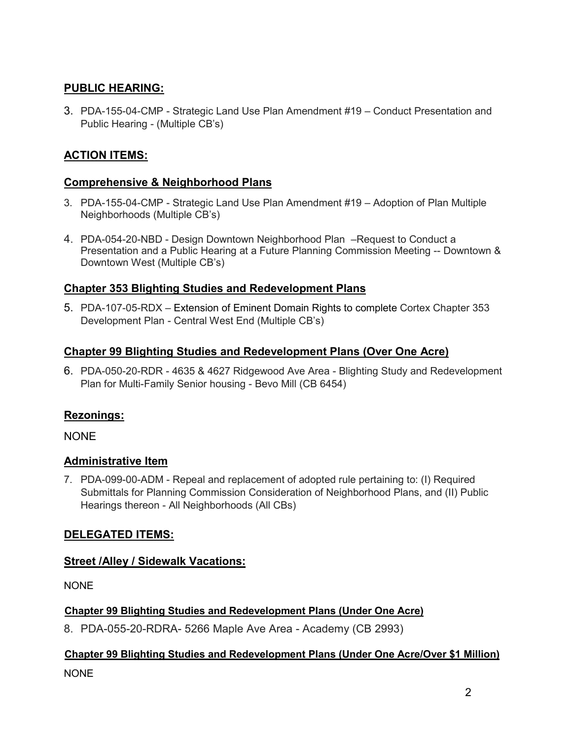# **PUBLIC HEARING:**

3. PDA-155-04-CMP - Strategic Land Use Plan Amendment #19 – Conduct Presentation and Public Hearing - (Multiple CB's)

# **ACTION ITEMS:**

### **Comprehensive & Neighborhood Plans**

- 3. PDA-155-04-CMP Strategic Land Use Plan Amendment #19 Adoption of Plan Multiple Neighborhoods (Multiple CB's)
- 4. PDA-054-20-NBD Design Downtown Neighborhood Plan –Request to Conduct a Presentation and a Public Hearing at a Future Planning Commission Meeting -- Downtown & Downtown West (Multiple CB's)

### **Chapter 353 Blighting Studies and Redevelopment Plans**

5. PDA-107-05-RDX – Extension of Eminent Domain Rights to complete Cortex Chapter 353 Development Plan - Central West End (Multiple CB's)

### **Chapter 99 Blighting Studies and Redevelopment Plans (Over One Acre)**

6. PDA-050-20-RDR - 4635 & 4627 Ridgewood Ave Area - Blighting Study and Redevelopment Plan for Multi-Family Senior housing - Bevo Mill (CB 6454)

# **Rezonings:**

NONE

# **Administrative Item**

7. PDA-099-00-ADM - Repeal and replacement of adopted rule pertaining to: (I) Required Submittals for Planning Commission Consideration of Neighborhood Plans, and (II) Public Hearings thereon - All Neighborhoods (All CBs)

# **DELEGATED ITEMS:**

# **Street /Alley / Sidewalk Vacations:**

NONE

### **Chapter 99 Blighting Studies and Redevelopment Plans (Under One Acre)**

8. PDA-055-20-RDRA- 5266 Maple Ave Area - Academy (CB 2993)

# **Chapter 99 Blighting Studies and Redevelopment Plans (Under One Acre/Over \$1 Million)** NONE